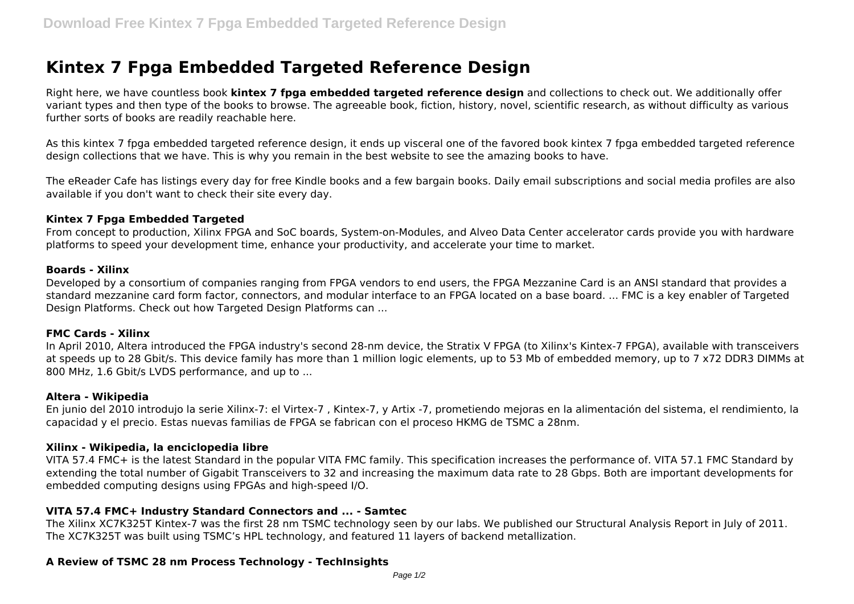# **Kintex 7 Fpga Embedded Targeted Reference Design**

Right here, we have countless book **kintex 7 fpga embedded targeted reference design** and collections to check out. We additionally offer variant types and then type of the books to browse. The agreeable book, fiction, history, novel, scientific research, as without difficulty as various further sorts of books are readily reachable here.

As this kintex 7 fpga embedded targeted reference design, it ends up visceral one of the favored book kintex 7 fpga embedded targeted reference design collections that we have. This is why you remain in the best website to see the amazing books to have.

The eReader Cafe has listings every day for free Kindle books and a few bargain books. Daily email subscriptions and social media profiles are also available if you don't want to check their site every day.

#### **Kintex 7 Fpga Embedded Targeted**

From concept to production, Xilinx FPGA and SoC boards, System-on-Modules, and Alveo Data Center accelerator cards provide you with hardware platforms to speed your development time, enhance your productivity, and accelerate your time to market.

#### **Boards - Xilinx**

Developed by a consortium of companies ranging from FPGA vendors to end users, the FPGA Mezzanine Card is an ANSI standard that provides a standard mezzanine card form factor, connectors, and modular interface to an FPGA located on a base board. ... FMC is a key enabler of Targeted Design Platforms. Check out how Targeted Design Platforms can ...

#### **FMC Cards - Xilinx**

In April 2010, Altera introduced the FPGA industry's second 28-nm device, the Stratix V FPGA (to Xilinx's Kintex-7 FPGA), available with transceivers at speeds up to 28 Gbit/s. This device family has more than 1 million logic elements, up to 53 Mb of embedded memory, up to 7 x72 DDR3 DIMMs at 800 MHz, 1.6 Gbit/s LVDS performance, and up to ...

#### **Altera - Wikipedia**

En junio del 2010 introdujo la serie Xilinx-7: el Virtex-7 , Kintex-7, y Artix -7, prometiendo mejoras en la alimentación del sistema, el rendimiento, la capacidad y el precio. Estas nuevas familias de FPGA se fabrican con el proceso HKMG de TSMC a 28nm.

#### **Xilinx - Wikipedia, la enciclopedia libre**

VITA 57.4 FMC+ is the latest Standard in the popular VITA FMC family. This specification increases the performance of. VITA 57.1 FMC Standard by extending the total number of Gigabit Transceivers to 32 and increasing the maximum data rate to 28 Gbps. Both are important developments for embedded computing designs using FPGAs and high-speed I/O.

#### **VITA 57.4 FMC+ Industry Standard Connectors and ... - Samtec**

The Xilinx XC7K325T Kintex-7 was the first 28 nm TSMC technology seen by our labs. We published our Structural Analysis Report in July of 2011. The XC7K325T was built using TSMC's HPL technology, and featured 11 layers of backend metallization.

#### **A Review of TSMC 28 nm Process Technology - TechInsights**